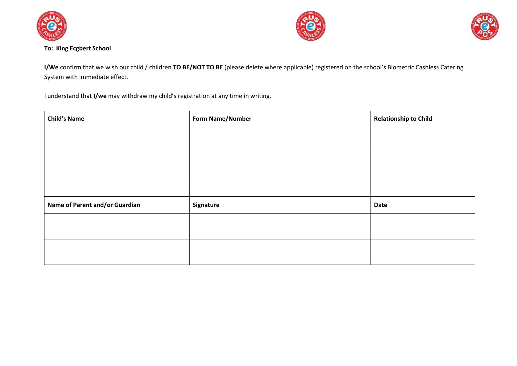





#### **To: King Ecgbert School**

**I/We** confirm that we wish our child / children **TO BE/NOT TO BE** (please delete where applicable) registered on the school's Biometric Cashless Catering System with immediate effect.

I understand that **I/we** may withdraw my child's registration at any time in writing.

| <b>Child's Name</b>            | <b>Form Name/Number</b> | <b>Relationship to Child</b> |
|--------------------------------|-------------------------|------------------------------|
|                                |                         |                              |
|                                |                         |                              |
|                                |                         |                              |
|                                |                         |                              |
| Name of Parent and/or Guardian | Signature               | <b>Date</b>                  |
|                                |                         |                              |
|                                |                         |                              |
|                                |                         |                              |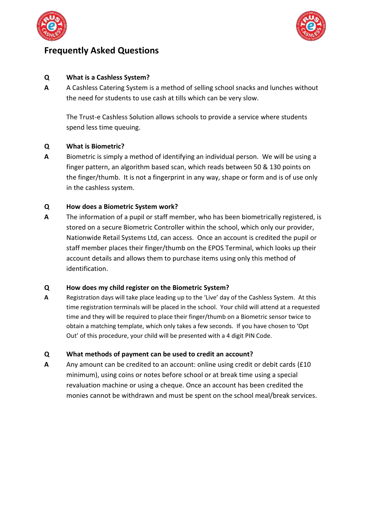



# **Frequently Asked Questions**

# **Q What is a Cashless System?**

**A** A Cashless Catering System is a method of selling school snacks and lunches without the need for students to use cash at tills which can be very slow.

The Trust-e Cashless Solution allows schools to provide a service where students spend less time queuing.

# **Q What is Biometric?**

**A** Biometric is simply a method of identifying an individual person. We will be using a finger pattern, an algorithm based scan, which reads between 50 & 130 points on the finger/thumb. It is not a fingerprint in any way, shape or form and is of use only in the cashless system.

#### **Q How does a Biometric System work?**

**A** The information of a pupil or staff member, who has been biometrically registered, is stored on a secure Biometric Controller within the school, which only our provider, Nationwide Retail Systems Ltd, can access. Once an account is credited the pupil or staff member places their finger/thumb on the EPOS Terminal, which looks up their account details and allows them to purchase items using only this method of identification.

# **Q How does my child register on the Biometric System?**

**A** Registration days will take place leading up to the 'Live' day of the Cashless System. At this time registration terminals will be placed in the school. Your child will attend at a requested time and they will be required to place their finger/thumb on a Biometric sensor twice to obtain a matching template, which only takes a few seconds. If you have chosen to 'Opt Out' of this procedure, your child will be presented with a 4 digit PIN Code.

# **Q What methods of payment can be used to credit an account?**

**A** Any amount can be credited to an account: online using credit or debit cards (£10 minimum), using coins or notes before school or at break time using a special revaluation machine or using a cheque. Once an account has been credited the monies cannot be withdrawn and must be spent on the school meal/break services.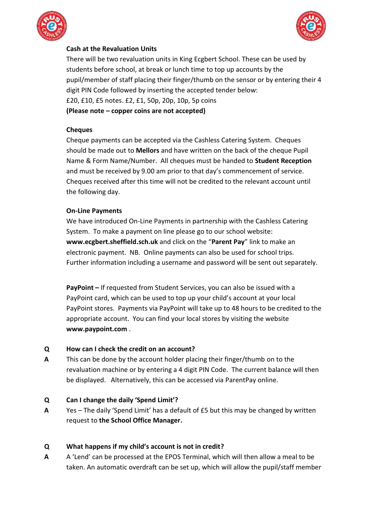



# **Cash at the Revaluation Units**

There will be two revaluation units in King Ecgbert School. These can be used by students before school, at break or lunch time to top up accounts by the pupil/member of staff placing their finger/thumb on the sensor or by entering their 4 digit PIN Code followed by inserting the accepted tender below: £20, £10, £5 notes. £2, £1, 50p, 20p, 10p, 5p coins **(Please note – copper coins are not accepted)**

#### **Cheques**

Cheque payments can be accepted via the Cashless Catering System. Cheques should be made out to **Mellors** and have written on the back of the cheque Pupil Name & Form Name/Number. All cheques must be handed to **Student Reception** and must be received by 9.00 am prior to that day's commencement of service. Cheques received after this time will not be credited to the relevant account until the following day.

#### **On-Line Payments**

We have introduced On-Line Payments in partnership with the Cashless Catering System. To make a payment on line please go to our school website: **www.ecgbert.sheffield.sch.uk** and click on the "**Parent Pay**" link to make an electronic payment. NB. Online payments can also be used for school trips. Further information including a username and password will be sent out separately.

**PayPoint –** If requested from Student Services, you can also be issued with a PayPoint card, which can be used to top up your child's account at your local PayPoint stores. Payments via PayPoint will take up to 48 hours to be credited to the appropriate account. You can find your local stores by visiting the website **www.paypoint.com** .

# **Q How can I check the credit on an account?**

**A** This can be done by the account holder placing their finger/thumb on to the revaluation machine or by entering a 4 digit PIN Code. The current balance will then be displayed. Alternatively, this can be accessed via ParentPay online.

# **Q Can I change the daily 'Spend Limit'?**

**A** Yes – The daily 'Spend Limit' has a default of £5 but this may be changed by written request to **the School Office Manager.**

# **Q What happens if my child's account is not in credit?**

**A** A 'Lend' can be processed at the EPOS Terminal, which will then allow a meal to be taken. An automatic overdraft can be set up, which will allow the pupil/staff member